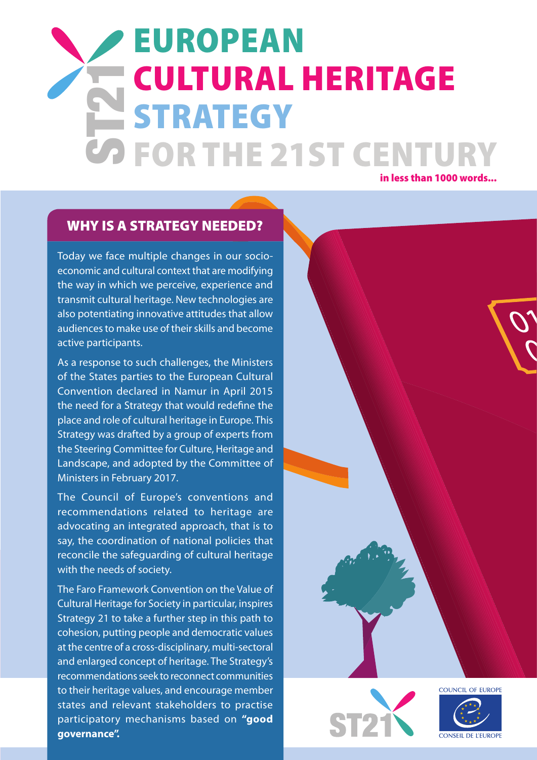# in less than 1000 words... ST21 European Cultural Heritage **STRATEGY** FOR THE 21ST CENTURY

### WHY IS A STRATEGY NEEDED?

Today we face multiple changes in our socioeconomic and cultural context that are modifying the way in which we perceive, experience and transmit cultural heritage. New technologies are also potentiating innovative attitudes that allow audiences to make use of their skills and become active participants.

As a response to such challenges, the Ministers of the States parties to the European Cultural Convention declared in Namur in April 2015 the need for a Strategy that would redefine the place and role of cultural heritage in Europe. This Strategy was drafted by a group of experts from the Steering Committee for Culture, Heritage and Landscape, and adopted by the Committee of Ministers in February 2017.

The Council of Europe's conventions and recommendations related to heritage are advocating an integrated approach, that is to say, the coordination of national policies that reconcile the safeguarding of cultural heritage with the needs of society.

The Faro Framework Convention on the Value of Cultural Heritage for Society in particular, inspires Strategy 21 to take a further step in this path to cohesion, putting people and democratic values at the centre of a cross-disciplinary, multi-sectoral and enlarged concept of heritage. The Strategy's recommendations seek to reconnect communities to their heritage values, and encourage member states and relevant stakeholders to practise participatory mechanisms based on **["good](http://www.coe.int/en/web/good-governance/toolkits)  [governance".](http://www.coe.int/en/web/good-governance/toolkits)** 





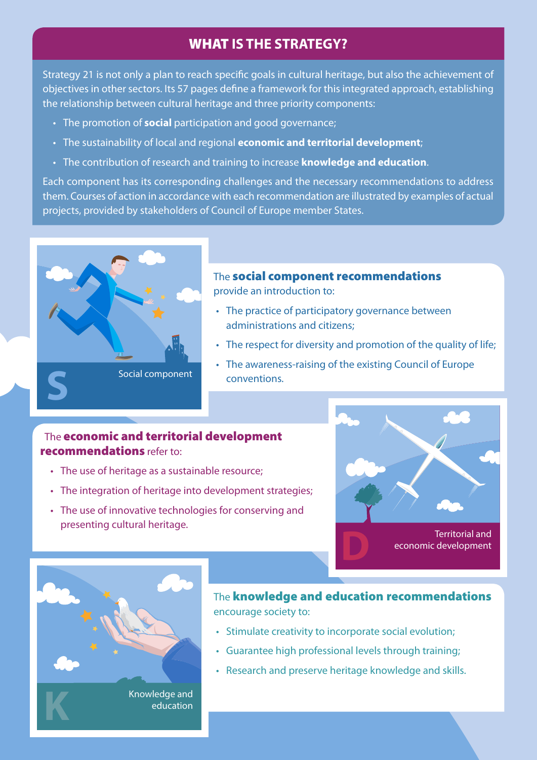## WHAT **IS THE STRATEGY?**

Strategy 21 is not only a plan to reach specific goals in cultural heritage, but also the achievement of objectives in other sectors. Its 57 pages define a framework for this integrated approach, establishing the relationship between cultural heritage and three priority components:

- The promotion of **social** participation and good governance;
- • The sustainability of local and regional **economic and territorial development**;
- • The contribution of research and training to increase **knowledge and education**.

Each component has its corresponding challenges and the necessary recommendations to address them. Courses of action in accordance with each recommendation are illustrated by examples of actual projects, provided by stakeholders of Council of Europe member States.



## The social component recommendations

provide an introduction to:

- The practice of participatory governance between administrations and citizens;
- The respect for diversity and promotion of the quality of life;
- The awareness-raising of the existing Council of Europe conventions.

#### The economic and territorial development recommendations refer to:

- The use of heritage as a sustainable resource;
- The integration of heritage into development strategies:
- The use of innovative technologies for conserving and presenting cultural heritage.





**Knowledge and education** education

### The knowledge and education recommendations encourage society to:

- Stimulate creativity to incorporate social evolution;
- • Guarantee high professional levels through training;
- Research and preserve heritage knowledge and skills.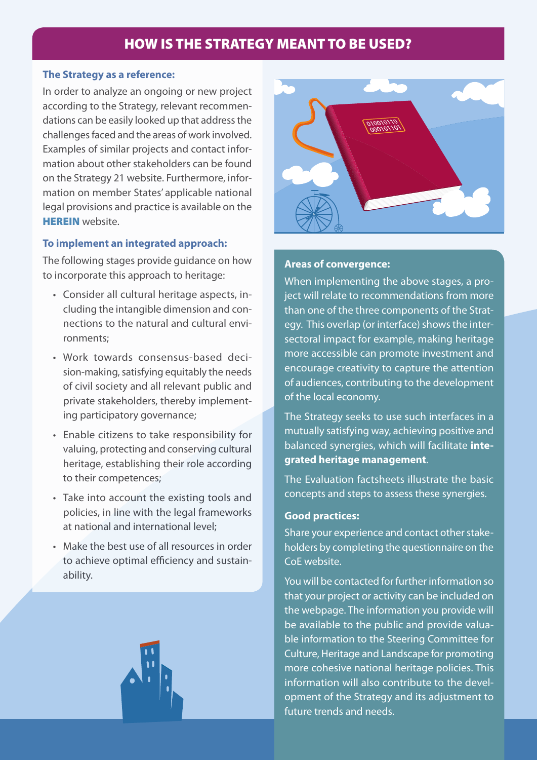## HOW IS THE STRATEGY MEANT TO BE USED?

#### **The Strategy as a reference:**

In order to analyze an ongoing or new project according to the Strategy, relevant recommendations can be easily looked up that address the challenges faced and the areas of work involved. Examples of similar projects and contact information about other stakeholders can be found on the Strategy 21 website. Furthermore, information on member States' applicable national legal provisions and practice is available on the [HEREIN](http://www.coe.int/en/web/culture-and-heritage/herein-heritage-network) website.

#### **To implement an integrated approach:**

The following stages provide guidance on how to incorporate this approach to heritage:

- • Consider all cultural heritage aspects, including the intangible dimension and connections to the natural and cultural environments;
- • Work towards consensus-based decision-making, satisfying equitably the needs of civil society and all relevant public and private stakeholders, thereby implementing participatory governance;
- • Enable citizens to take responsibility for valuing, protecting and conserving cultural heritage, establishing their role according to their competences;
- Take into account the existing tools and policies, in line with the legal frameworks at national and international level;
- Make the best use of all resources in order to achieve optimal efficiency and sustainability.





#### **Areas of convergence:**  $\mathbf{A} = \mathbf{A} \mathbf{A}$

When implementing the above stages, a pro-<br>States illustate to account on detices from money ject will relate to recommendations from more than one of the three components of the Strategy. This overlap (or interface) shows the intersectoral impact for example, making heritage more accessible can promote investment and encourage creativity to capture the attention of audiences, contributing to the development of the local economy.

The Strategy seeks to use such interfaces in a mutually satisfying way, achieving positive and balanced synergies, which will facilitate **integrated heritage management**.

The Evaluation factsheets illustrate the basic concepts and steps to assess these synergies.

#### **Good practices:**

Share your experience and contact other stakeholders by completing the questionnaire on the CoE website.

You will be contacted for further information so that your project or activity can be included on the webpage. The information you provide will be available to the public and provide valuable information to the Steering Committee for Culture, Heritage and Landscape for promoting more cohesive national heritage policies. This information will also contribute to the development of the Strategy and its adjustment to future trends and needs.